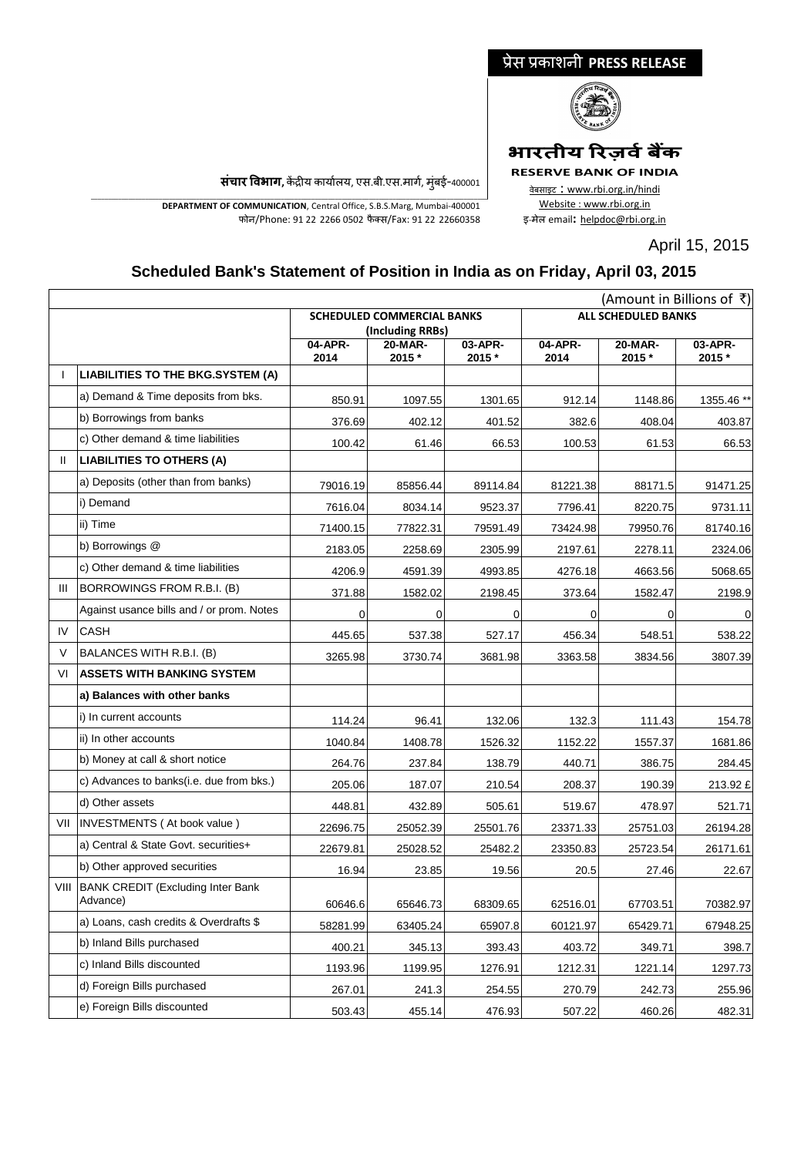## प्रेस प्रकाशनी **PRESS RELEASE**



# **भारतीय ररज़िवबैंक**

**RESERVE BANK OF INDIA** वेबसाइट : www.rbi.org.in/hindi Website : www.rbi.org.in

<sup>इ</sup>-मेल email**:** [helpdoc@rbi.org.in](mailto:helpdoc@rbi.org.in)

April 15, 2015

**संचार विभाग,** केंद्रीय कार्यालय, एस.बी.एस.मार्ग, मुंबई-400001

\_\_\_\_\_\_\_\_\_\_\_\_\_\_\_\_\_\_\_\_\_\_\_\_\_\_\_\_\_\_\_\_\_\_\_\_\_\_\_\_\_\_\_\_\_\_\_\_\_\_\_\_\_\_\_\_\_\_\_\_\_\_\_\_\_\_\_\_\_\_\_\_\_\_\_\_\_\_\_\_\_\_\_\_\_\_\_\_\_\_\_\_\_\_\_\_\_\_\_\_\_\_\_\_\_\_\_\_\_\_\_\_\_\_\_\_\_ **DEPARTMENT OF COMMUNICATION**, Central Office, S.B.S.Marg, Mumbai-400001 फोन/Phone: 91 22 2266 0502 फै क्स/Fax: 91 22 22660358

## **Scheduled Bank's Statement of Position in India as on Friday, April 03, 2015**

|        |                                                    | (Amount in Billions of ₹)                         |          |                               |                            |          |             |
|--------|----------------------------------------------------|---------------------------------------------------|----------|-------------------------------|----------------------------|----------|-------------|
|        |                                                    | <b>SCHEDULED COMMERCIAL BANKS</b>                 |          |                               | <b>ALL SCHEDULED BANKS</b> |          |             |
|        |                                                    | (Including RRBs)<br>04-APR-<br>03-APR-<br>20-MAR- |          | 04-APR-<br>20-MAR-<br>03-APR- |                            |          |             |
|        |                                                    | 2014                                              | 2015 *   | 2015 *                        | 2014                       | 2015 *   | 2015 *      |
|        | <b>LIABILITIES TO THE BKG.SYSTEM (A)</b>           |                                                   |          |                               |                            |          |             |
|        | a) Demand & Time deposits from bks.                | 850.91                                            | 1097.55  | 1301.65                       | 912.14                     | 1148.86  | 1355.46 **  |
|        | b) Borrowings from banks                           | 376.69                                            | 402.12   | 401.52                        | 382.6                      | 408.04   | 403.87      |
|        | c) Other demand & time liabilities                 | 100.42                                            | 61.46    | 66.53                         | 100.53                     | 61.53    | 66.53       |
| Ш      | <b>LIABILITIES TO OTHERS (A)</b>                   |                                                   |          |                               |                            |          |             |
|        | a) Deposits (other than from banks)                | 79016.19                                          | 85856.44 | 89114.84                      | 81221.38                   | 88171.5  | 91471.25    |
|        | i) Demand                                          | 7616.04                                           | 8034.14  | 9523.37                       | 7796.41                    | 8220.75  | 9731.11     |
|        | ii) Time                                           | 71400.15                                          | 77822.31 | 79591.49                      | 73424.98                   | 79950.76 | 81740.16    |
|        | b) Borrowings @                                    | 2183.05                                           | 2258.69  | 2305.99                       | 2197.61                    | 2278.11  | 2324.06     |
|        | c) Other demand & time liabilities                 | 4206.9                                            | 4591.39  | 4993.85                       | 4276.18                    | 4663.56  | 5068.65     |
| Ш      | BORROWINGS FROM R.B.I. (B)                         | 371.88                                            | 1582.02  | 2198.45                       | 373.64                     | 1582.47  | 2198.9      |
|        | Against usance bills and / or prom. Notes          | 0                                                 | 0        | 0                             | 0                          | 0        | $\mathbf 0$ |
| IV     | <b>CASH</b>                                        | 445.65                                            | 537.38   | 527.17                        | 456.34                     | 548.51   | 538.22      |
| $\vee$ | BALANCES WITH R.B.I. (B)                           | 3265.98                                           | 3730.74  | 3681.98                       | 3363.58                    | 3834.56  | 3807.39     |
| VI     | <b>ASSETS WITH BANKING SYSTEM</b>                  |                                                   |          |                               |                            |          |             |
|        | a) Balances with other banks                       |                                                   |          |                               |                            |          |             |
|        | i) In current accounts                             | 114.24                                            | 96.41    | 132.06                        | 132.3                      | 111.43   | 154.78      |
|        | ii) In other accounts                              | 1040.84                                           | 1408.78  | 1526.32                       | 1152.22                    | 1557.37  | 1681.86     |
|        | b) Money at call & short notice                    | 264.76                                            | 237.84   | 138.79                        | 440.71                     | 386.75   | 284.45      |
|        | c) Advances to banks(i.e. due from bks.)           | 205.06                                            | 187.07   | 210.54                        | 208.37                     | 190.39   | 213.92 £    |
|        | d) Other assets                                    | 448.81                                            | 432.89   | 505.61                        | 519.67                     | 478.97   | 521.71      |
| VII    | INVESTMENTS (At book value)                        | 22696.75                                          | 25052.39 | 25501.76                      | 23371.33                   | 25751.03 | 26194.28    |
|        | a) Central & State Govt. securities+               | 22679.81                                          | 25028.52 | 25482.2                       | 23350.83                   | 25723.54 | 26171.61    |
|        | b) Other approved securities                       | 16.94                                             | 23.85    | 19.56                         | 20.5                       | 27.46    | 22.67       |
|        | VIII BANK CREDIT (Excluding Inter Bank<br>Advance) | 60646.6                                           | 65646.73 | 68309.65                      | 62516.01                   | 67703.51 | 70382.97    |
|        | a) Loans, cash credits & Overdrafts \$             | 58281.99                                          | 63405.24 | 65907.8                       | 60121.97                   | 65429.71 | 67948.25    |
|        | b) Inland Bills purchased                          | 400.21                                            | 345.13   | 393.43                        | 403.72                     | 349.71   | 398.7       |
|        | c) Inland Bills discounted                         | 1193.96                                           | 1199.95  | 1276.91                       | 1212.31                    | 1221.14  | 1297.73     |
|        | d) Foreign Bills purchased                         | 267.01                                            | 241.3    | 254.55                        | 270.79                     | 242.73   | 255.96      |
|        | e) Foreign Bills discounted                        | 503.43                                            | 455.14   | 476.93                        | 507.22                     | 460.26   | 482.31      |